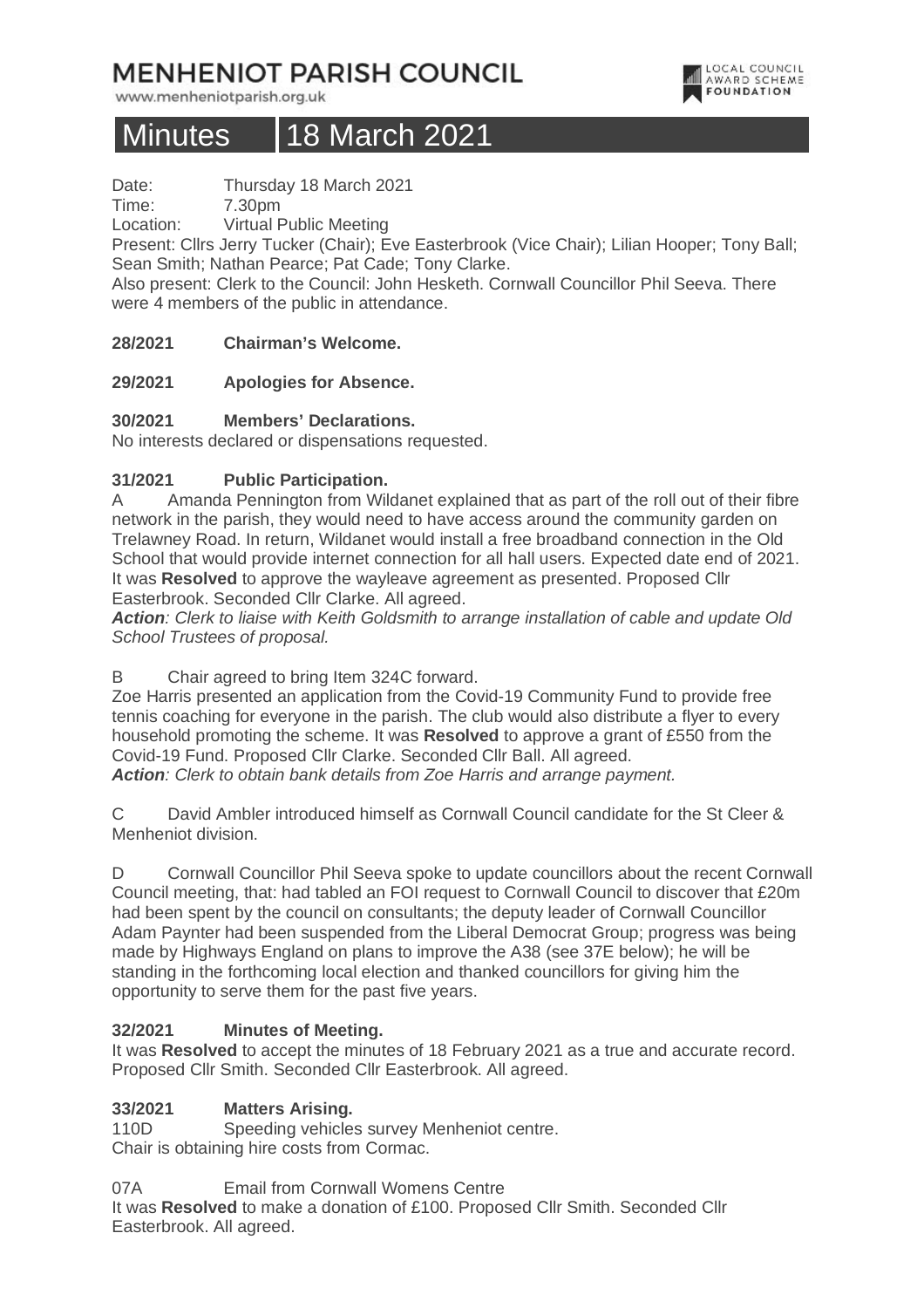# **MENHENIOT PARISH COUNCIL**

www.menheniotparish.org.uk

# Minutes 18 March 2021

Date: Thursday 18 March 2021

Time: 7.30pm

Location: Virtual Public Meeting

Present: Cllrs Jerry Tucker (Chair); Eve Easterbrook (Vice Chair); Lilian Hooper; Tony Ball; Sean Smith; Nathan Pearce; Pat Cade; Tony Clarke.

Also present: Clerk to the Council: John Hesketh. Cornwall Councillor Phil Seeva. There were 4 members of the public in attendance.

# **28/2021 Chairman's Welcome.**

# **29/2021 Apologies for Absence.**

# **30/2021 Members' Declarations.**

No interests declared or dispensations requested.

# **31/2021 Public Participation.**

A Amanda Pennington from Wildanet explained that as part of the roll out of their fibre network in the parish, they would need to have access around the community garden on Trelawney Road. In return, Wildanet would install a free broadband connection in the Old School that would provide internet connection for all hall users. Expected date end of 2021. It was **Resolved** to approve the wayleave agreement as presented. Proposed Cllr Easterbrook. Seconded Cllr Clarke. All agreed.

**Action**: Clerk to liaise with Keith Goldsmith to arrange installation of cable and update Old School Trustees of proposal.

B Chair agreed to bring Item 324C forward.

Zoe Harris presented an application from the Covid-19 Community Fund to provide free tennis coaching for everyone in the parish. The club would also distribute a flyer to every household promoting the scheme. It was **Resolved** to approve a grant of £550 from the Covid-19 Fund. Proposed Cllr Clarke. Seconded Cllr Ball. All agreed. **Action**: Clerk to obtain bank details from Zoe Harris and arrange payment.

C David Ambler introduced himself as Cornwall Council candidate for the St Cleer & Menheniot division.

D Cornwall Councillor Phil Seeva spoke to update councillors about the recent Cornwall Council meeting, that: had tabled an FOI request to Cornwall Council to discover that £20m had been spent by the council on consultants; the deputy leader of Cornwall Councillor Adam Paynter had been suspended from the Liberal Democrat Group; progress was being made by Highways England on plans to improve the A38 (see 37E below); he will be standing in the forthcoming local election and thanked councillors for giving him the opportunity to serve them for the past five years.

# **32/2021 Minutes of Meeting.**

It was **Resolved** to accept the minutes of 18 February 2021 as a true and accurate record. Proposed Cllr Smith. Seconded Cllr Easterbrook. All agreed.

# **33/2021 Matters Arising.**

110D Speeding vehicles survey Menheniot centre. Chair is obtaining hire costs from Cormac.

07A Email from Cornwall Womens Centre

It was **Resolved** to make a donation of £100. Proposed Cllr Smith. Seconded Cllr Easterbrook. All agreed.

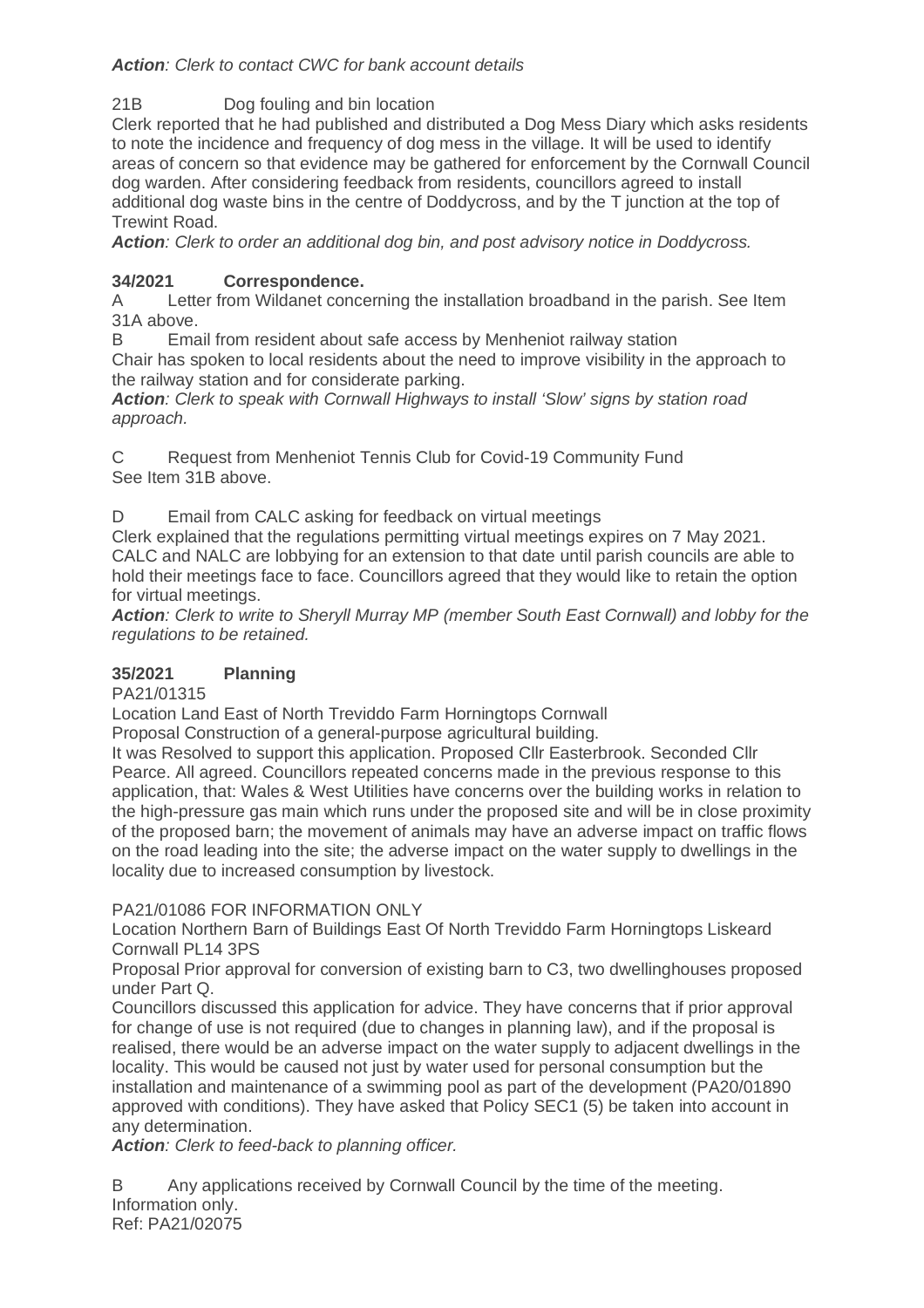# Action: Clerk to contact CWC for bank account details

21B Dog fouling and bin location

Clerk reported that he had published and distributed a Dog Mess Diary which asks residents to note the incidence and frequency of dog mess in the village. It will be used to identify areas of concern so that evidence may be gathered for enforcement by the Cornwall Council dog warden. After considering feedback from residents, councillors agreed to install additional dog waste bins in the centre of Doddycross, and by the T junction at the top of Trewint Road.

**Action**: Clerk to order an additional dog bin, and post advisory notice in Doddycross.

# **34/2021 Correspondence.**

A Letter from Wildanet concerning the installation broadband in the parish. See Item 31A above.

B Email from resident about safe access by Menheniot railway station

Chair has spoken to local residents about the need to improve visibility in the approach to the railway station and for considerate parking.

**Action**: Clerk to speak with Cornwall Highways to install 'Slow' signs by station road approach.

C Request from Menheniot Tennis Club for Covid-19 Community Fund See Item 31B above.

D Email from CALC asking for feedback on virtual meetings

Clerk explained that the regulations permitting virtual meetings expires on 7 May 2021. CALC and NALC are lobbying for an extension to that date until parish councils are able to hold their meetings face to face. Councillors agreed that they would like to retain the option for virtual meetings.

**Action**: Clerk to write to Sheryll Murray MP (member South East Cornwall) and lobby for the regulations to be retained.

# **35/2021 Planning**

PA21/01315

Location Land East of North Treviddo Farm Horningtops Cornwall

Proposal Construction of a general-purpose agricultural building.

It was Resolved to support this application. Proposed Cllr Easterbrook. Seconded Cllr Pearce. All agreed. Councillors repeated concerns made in the previous response to this application, that: Wales & West Utilities have concerns over the building works in relation to the high-pressure gas main which runs under the proposed site and will be in close proximity of the proposed barn; the movement of animals may have an adverse impact on traffic flows on the road leading into the site; the adverse impact on the water supply to dwellings in the locality due to increased consumption by livestock.

PA21/01086 FOR INFORMATION ONLY

Location Northern Barn of Buildings East Of North Treviddo Farm Horningtops Liskeard Cornwall PL14 3PS

Proposal Prior approval for conversion of existing barn to C3, two dwellinghouses proposed under Part Q.

Councillors discussed this application for advice. They have concerns that if prior approval for change of use is not required (due to changes in planning law), and if the proposal is realised, there would be an adverse impact on the water supply to adjacent dwellings in the locality. This would be caused not just by water used for personal consumption but the installation and maintenance of a swimming pool as part of the development (PA20/01890 approved with conditions). They have asked that Policy SEC1 (5) be taken into account in any determination.

Action: Clerk to feed-back to planning officer.

B Any applications received by Cornwall Council by the time of the meeting. Information only. Ref: PA21/02075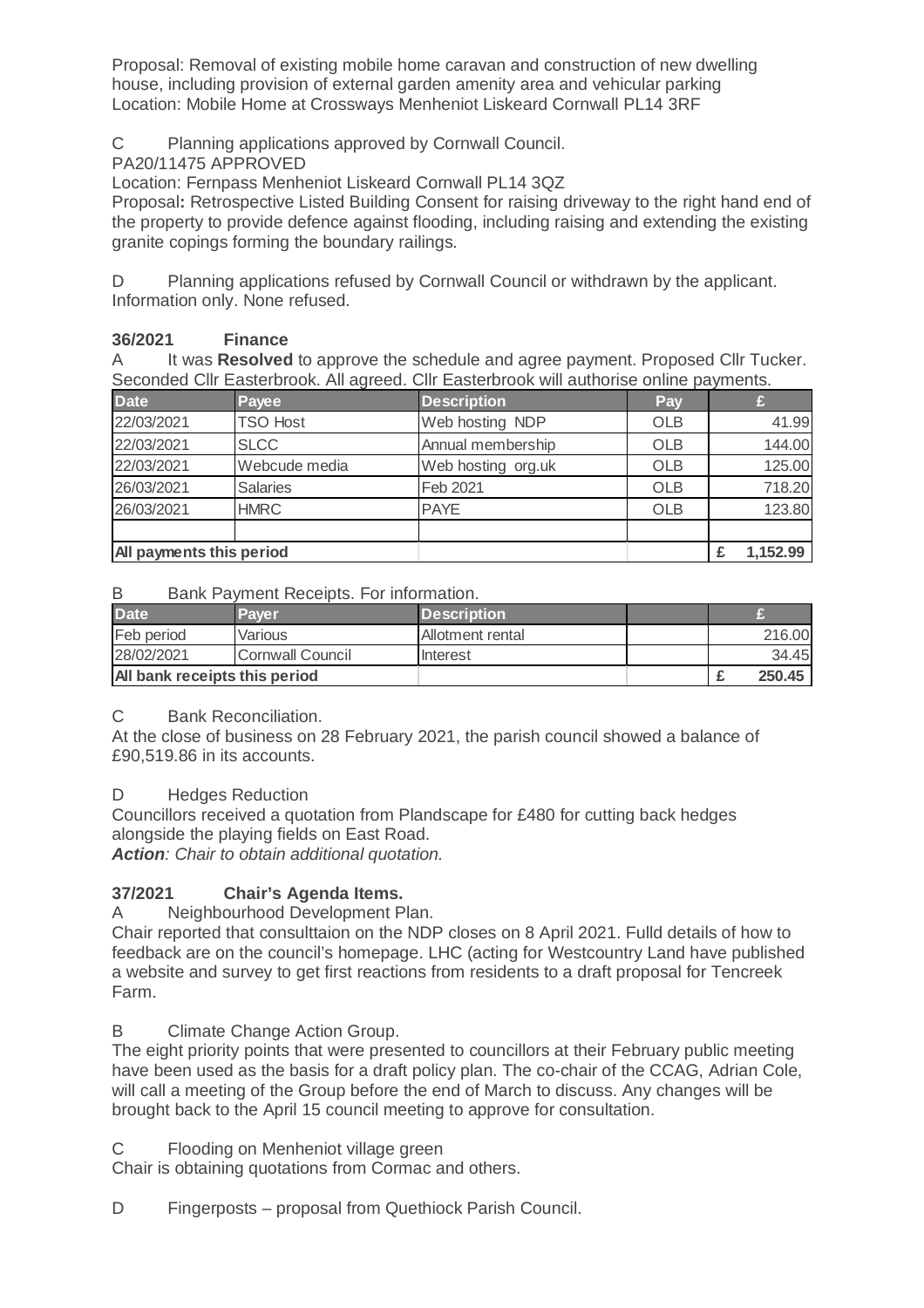Proposal: Removal of existing mobile home caravan and construction of new dwelling house, including provision of external garden amenity area and vehicular parking Location: Mobile Home at Crossways Menheniot Liskeard Cornwall PL14 3RF

C Planning applications approved by Cornwall Council.

PA20/11475 APPROVED

Location: Fernpass Menheniot Liskeard Cornwall PL14 3QZ

Proposal**:** Retrospective Listed Building Consent for raising driveway to the right hand end of the property to provide defence against flooding, including raising and extending the existing granite copings forming the boundary railings.

D Planning applications refused by Cornwall Council or withdrawn by the applicant. Information only. None refused.

# **36/2021 Finance**

A It was **Resolved** to approve the schedule and agree payment. Proposed Cllr Tucker. Seconded Cllr Easterbrook. All agreed. Cllr Easterbrook will authorise online payments.

| <b>Date</b>              | Payee           | <b>Description</b> | Pay        |          |
|--------------------------|-----------------|--------------------|------------|----------|
| 22/03/2021               | <b>TSO Host</b> | Web hosting NDP    | <b>OLB</b> | 41.99    |
| 22/03/2021               | <b>SLCC</b>     | Annual membership  | <b>OLB</b> | 144.00   |
| 22/03/2021               | Webcude media   | Web hosting org.uk | OLB        | 125.00   |
| 26/03/2021               | <b>Salaries</b> | Feb 2021           | <b>OLB</b> | 718.20   |
| 26/03/2021               | <b>HMRC</b>     | <b>PAYE</b>        | <b>OLB</b> | 123.80   |
|                          |                 |                    |            |          |
| All payments this period |                 |                    |            | 1,152.99 |

#### B Bank Payment Receipts. For information.

| <b>Date</b>                   | Paver            | <b>Description</b> |  |        |
|-------------------------------|------------------|--------------------|--|--------|
| Feb period                    | Various          | Allotment rental   |  | 216.00 |
| 28/02/2021                    | Cornwall Council | Interest           |  | 34.45  |
| All bank receipts this period |                  |                    |  | 250.45 |

#### C Bank Reconciliation.

At the close of business on 28 February 2021, the parish council showed a balance of £90,519.86 in its accounts.

#### D Hedges Reduction

Councillors received a quotation from Plandscape for £480 for cutting back hedges alongside the playing fields on East Road.

**Action**: Chair to obtain additional quotation.

# **37/2021 Chair's Agenda Items.**

A Neighbourhood Development Plan.

Chair reported that consulttaion on the NDP closes on 8 April 2021. Fulld details of how to feedback are on the council's homepage. LHC (acting for Westcountry Land have published a website and survey to get first reactions from residents to a draft proposal for Tencreek Farm.

#### B Climate Change Action Group.

The eight priority points that were presented to councillors at their February public meeting have been used as the basis for a draft policy plan. The co-chair of the CCAG, Adrian Cole, will call a meeting of the Group before the end of March to discuss. Any changes will be brought back to the April 15 council meeting to approve for consultation.

C Flooding on Menheniot village green

Chair is obtaining quotations from Cormac and others.

D Fingerposts – proposal from Quethiock Parish Council.